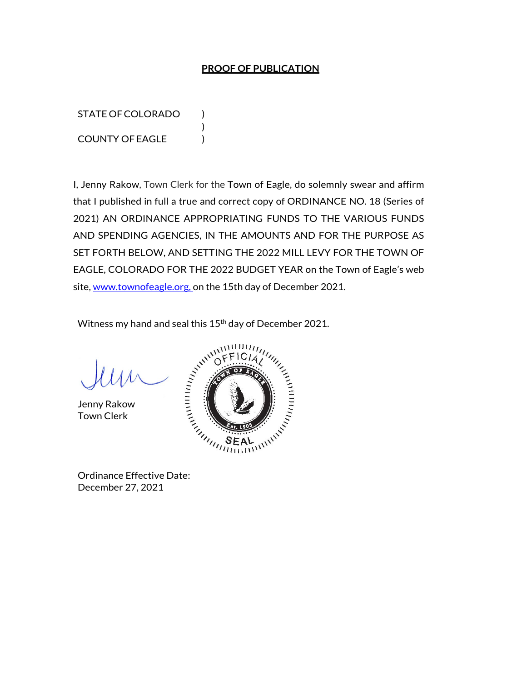## **PROOF OF PUBLICATION**

STATE OF COLORADO ) COUNTY OF EAGLE )

I, Jenny Rakow, Town Clerk for the Town of Eagle, do solemnly swear and affirm that I published in full a true and correct copy of ORDINANCE NO. 18 (Series of 2021) AN ORDINANCE APPROPRIATING FUNDS TO THE VARIOUS FUNDS AND SPENDING AGENCIES, IN THE AMOUNTS AND FOR THE PURPOSE AS SET FORTH BELOW, AND SETTING THE 2022 MILL LEVY FOR THE TOWN OF EAGLE, COLORADO FOR THE 2022 BUDGET YEAR on the Town of Eagle's web site, www.townofeagle.org, on the 15th day of December 2021.

Witness my hand and seal this 15<sup>th</sup> day of December 2021.

)

Jenny Rakow Town Clerk



December 27, 2021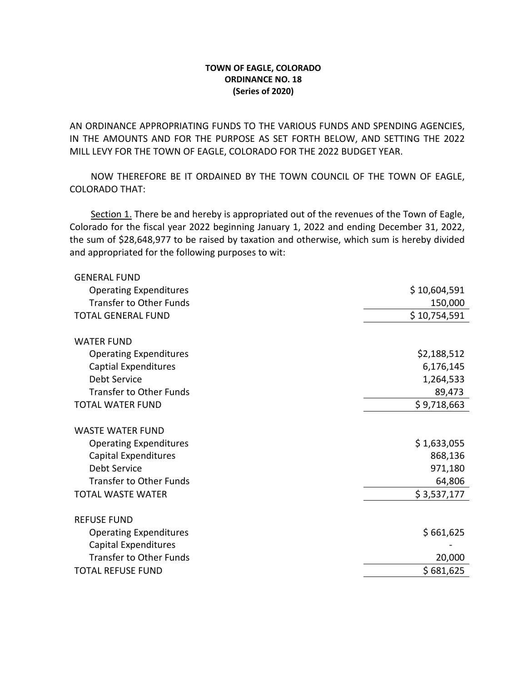## **TOWN OF EAGLE, COLORADO ORDINANCE NO. 18 (Series of 2020)**

AN ORDINANCE APPROPRIATING FUNDS TO THE VARIOUS FUNDS AND SPENDING AGENCIES, IN THE AMOUNTS AND FOR THE PURPOSE AS SET FORTH BELOW, AND SETTING THE 2022 MILL LEVY FOR THE TOWN OF EAGLE, COLORADO FOR THE 2022 BUDGET YEAR.

 NOW THEREFORE BE IT ORDAINED BY THE TOWN COUNCIL OF THE TOWN OF EAGLE, COLORADO THAT:

Section 1. There be and hereby is appropriated out of the revenues of the Town of Eagle, Colorado for the fiscal year 2022 beginning January 1, 2022 and ending December 31, 2022, the sum of \$28,648,977 to be raised by taxation and otherwise, which sum is hereby divided and appropriated for the following purposes to wit:

| \$10,604,591<br><b>Operating Expenditures</b> |        |
|-----------------------------------------------|--------|
| <b>Transfer to Other Funds</b><br>150,000     |        |
| <b>TOTAL GENERAL FUND</b><br>\$10,754,591     |        |
| <b>WATER FUND</b>                             |        |
| \$2,188,512<br><b>Operating Expenditures</b>  |        |
| <b>Captial Expenditures</b><br>6,176,145      |        |
| Debt Service<br>1,264,533                     |        |
| <b>Transfer to Other Funds</b>                | 89,473 |
| \$9,718,663<br><b>TOTAL WATER FUND</b>        |        |
| <b>WASTE WATER FUND</b>                       |        |
| \$1,633,055<br><b>Operating Expenditures</b>  |        |
| <b>Capital Expenditures</b><br>868,136        |        |
| Debt Service<br>971,180                       |        |
| <b>Transfer to Other Funds</b>                | 64,806 |
| \$3,537,177<br><b>TOTAL WASTE WATER</b>       |        |
| <b>REFUSE FUND</b>                            |        |
| \$661,625<br><b>Operating Expenditures</b>    |        |
| <b>Capital Expenditures</b>                   |        |
| <b>Transfer to Other Funds</b>                | 20,000 |
| \$681,625<br><b>TOTAL REFUSE FUND</b>         |        |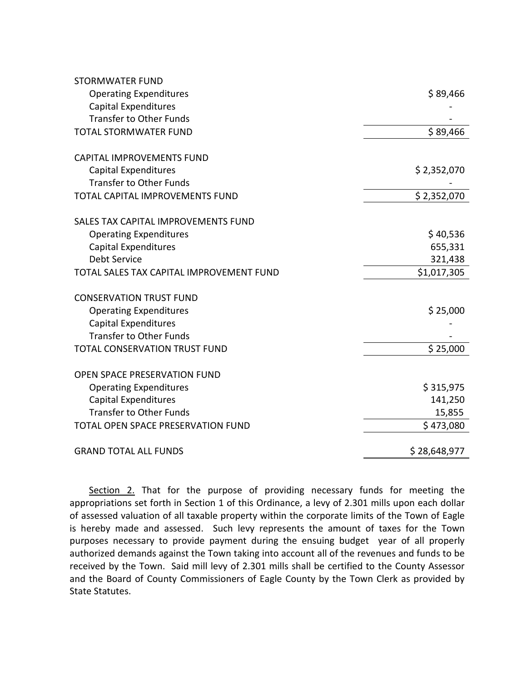| <b>STORMWATER FUND</b>                   |              |
|------------------------------------------|--------------|
| <b>Operating Expenditures</b>            | \$89,466     |
| <b>Capital Expenditures</b>              |              |
| <b>Transfer to Other Funds</b>           |              |
| <b>TOTAL STORMWATER FUND</b>             | \$89,466     |
| <b>CAPITAL IMPROVEMENTS FUND</b>         |              |
| Capital Expenditures                     | \$2,352,070  |
| <b>Transfer to Other Funds</b>           |              |
| TOTAL CAPITAL IMPROVEMENTS FUND          | \$2,352,070  |
| SALES TAX CAPITAL IMPROVEMENTS FUND      |              |
| <b>Operating Expenditures</b>            | \$40,536     |
| <b>Capital Expenditures</b>              | 655,331      |
| Debt Service                             | 321,438      |
| TOTAL SALES TAX CAPITAL IMPROVEMENT FUND | \$1,017,305  |
| <b>CONSERVATION TRUST FUND</b>           |              |
| <b>Operating Expenditures</b>            | \$25,000     |
| <b>Capital Expenditures</b>              |              |
| <b>Transfer to Other Funds</b>           |              |
| TOTAL CONSERVATION TRUST FUND            | \$25,000     |
| OPEN SPACE PRESERVATION FUND             |              |
| <b>Operating Expenditures</b>            | \$315,975    |
| <b>Capital Expenditures</b>              | 141,250      |
| <b>Transfer to Other Funds</b>           | 15,855       |
| TOTAL OPEN SPACE PRESERVATION FUND       | \$473,080    |
| <b>GRAND TOTAL ALL FUNDS</b>             | \$28,648,977 |

Section 2. That for the purpose of providing necessary funds for meeting the appropriations set forth in Section 1 of this Ordinance, a levy of 2.301 mills upon each dollar of assessed valuation of all taxable property within the corporate limits of the Town of Eagle is hereby made and assessed. Such levy represents the amount of taxes for the Town purposes necessary to provide payment during the ensuing budget year of all properly authorized demands against the Town taking into account all of the revenues and funds to be received by the Town. Said mill levy of 2.301 mills shall be certified to the County Assessor and the Board of County Commissioners of Eagle County by the Town Clerk as provided by State Statutes.